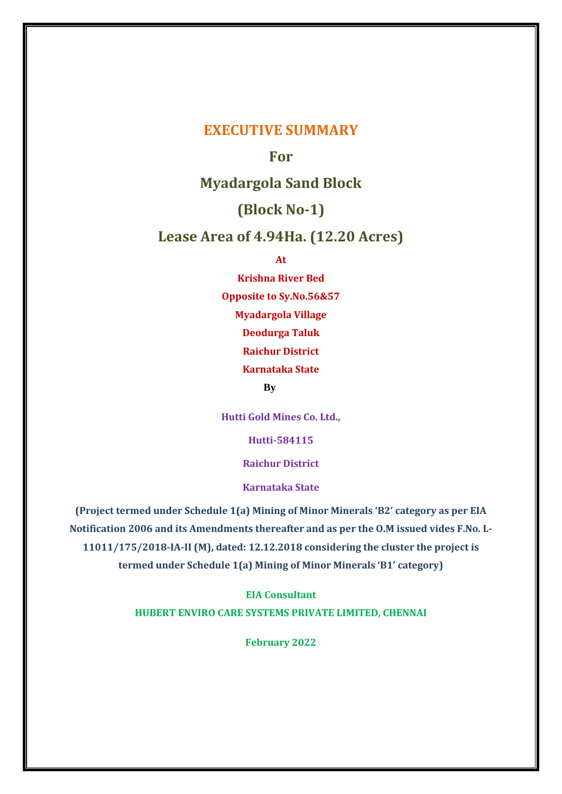## **EXECUTIVE SUMMARY**

## **For**

# **Myadargola Sand Block**

# **(Block No-1)**

## **Lease Area of 4.94Ha. (12.20 Acres)**

**At** 

**Krishna River Bed Opposite to Sy.No.56&57 Myadargola Village Deodurga Taluk Raichur District Karnataka State By**

**Hutti Gold Mines Co. Ltd.,**

**Hutti-584115**

**Raichur District**

**Karnataka State**

**(Project termed under Schedule 1(a) Mining of Minor Minerals 'B2' category as per EIA Notification 2006 and its Amendments thereafter and as per the O.M issued vides F.No. L-11011/175/2018-IA-II (M), dated: 12.12.2018 considering the cluster the project is termed under Schedule 1(a) Mining of Minor Minerals 'B1' category)**

> **EIA Consultant HUBERT ENVIRO CARE SYSTEMS PRIVATE LIMITED, CHENNAI**

> > **February 2022**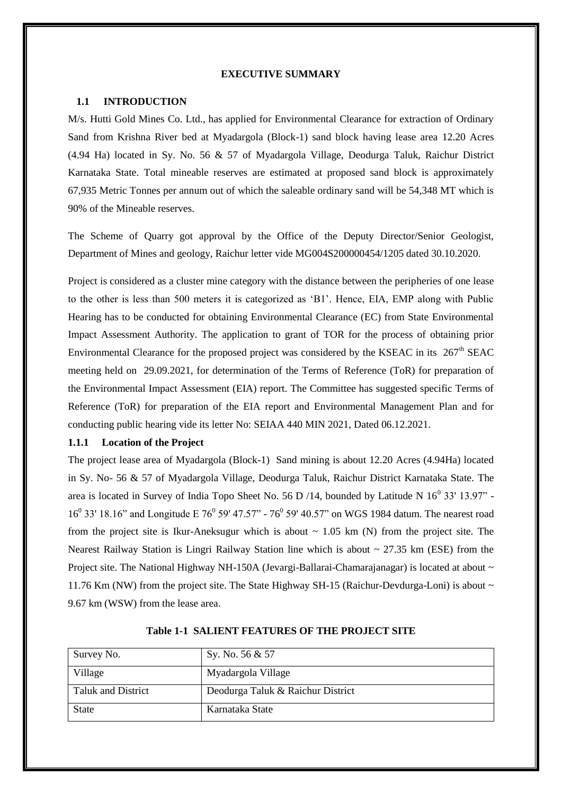#### **EXECUTIVE SUMMARY**

#### **1.1 INTRODUCTION**

M/s. Hutti Gold Mines Co. Ltd., has applied for Environmental Clearance for extraction of Ordinary Sand from Krishna River bed at Myadargola (Block-1) sand block having lease area 12.20 Acres (4.94 Ha) located in Sy. No. 56 & 57 of Myadargola Village, Deodurga Taluk, Raichur District Karnataka State. Total mineable reserves are estimated at proposed sand block is approximately 67,935 Metric Tonnes per annum out of which the saleable ordinary sand will be 54,348 MT which is 90% of the Mineable reserves.

The Scheme of Quarry got approval by the Office of the Deputy Director/Senior Geologist, Department of Mines and geology, Raichur letter vide MG004S200000454/1205 dated 30.10.2020.

Project is considered as a cluster mine category with the distance between the peripheries of one lease to the other is less than 500 meters it is categorized as 'B1'. Hence, EIA, EMP along with Public Hearing has to be conducted for obtaining Environmental Clearance (EC) from State Environmental Impact Assessment Authority. The application to grant of TOR for the process of obtaining prior Environmental Clearance for the proposed project was considered by the KSEAC in its 267<sup>th</sup> SEAC meeting held on 29.09.2021, for determination of the Terms of Reference (ToR) for preparation of the Environmental Impact Assessment (EIA) report. The Committee has suggested specific Terms of Reference (ToR) for preparation of the EIA report and Environmental Management Plan and for conducting public hearing vide its letter No: SEIAA 440 MIN 2021, Dated 06.12.2021.

#### **1.1.1 Location of the Project**

The project lease area of Myadargola (Block-1) Sand mining is about 12.20 Acres (4.94Ha) located in Sy. No- 56 & 57 of Myadargola Village, Deodurga Taluk, Raichur District Karnataka State. The area is located in Survey of India Topo Sheet No. 56 D /14, bounded by Latitude N  $16^0$  33' 13.97" -16<sup>0</sup> 33' 18.16" and Longitude E 76<sup>0</sup> 59' 47.57" - 76<sup>0</sup> 59' 40.57" on WGS 1984 datum. The nearest road from the project site is Ikur-Aneksugur which is about  $\sim 1.05$  km (N) from the project site. The Nearest Railway Station is Lingri Railway Station line which is about ~ 27.35 km (ESE) from the Project site. The National Highway NH-150A (Jevargi-Ballarai-Chamarajanagar) is located at about ~ 11.76 Km (NW) from the project site. The State Highway SH-15 (Raichur-Devdurga-Loni) is about ~ 9.67 km (WSW) from the lease area.

| Survey No.                | Sy. No. 56 & 57                   |
|---------------------------|-----------------------------------|
| Village                   | Myadargola Village                |
| <b>Taluk and District</b> | Deodurga Taluk & Raichur District |
| State                     | Karnataka State                   |

| <b>Table 1-1 SALIENT FEATURES OF THE PROJECT SITE</b> |  |
|-------------------------------------------------------|--|
|-------------------------------------------------------|--|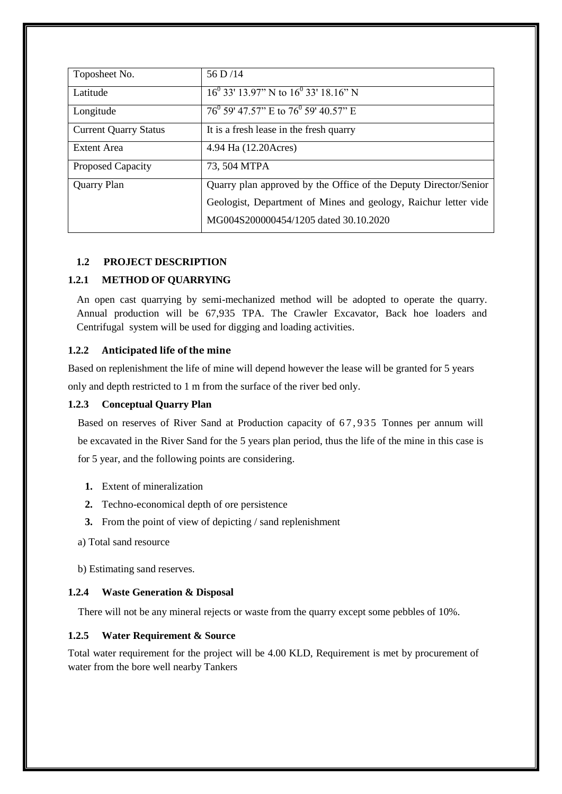| Toposheet No.                | 56 D/14                                                          |
|------------------------------|------------------------------------------------------------------|
| Latitude                     | $16^{0}$ 33' 13.97" N to $16^{0}$ 33' 18.16" N                   |
| Longitude                    | $76^{\circ}$ 59' 47.57" E to $76^{\circ}$ 59' 40.57" E           |
| <b>Current Quarry Status</b> | It is a fresh lease in the fresh quarry                          |
| Extent Area                  | 4.94 Ha (12.20Acres)                                             |
| Proposed Capacity            | 73, 504 MTPA                                                     |
| <b>Quarry Plan</b>           | Quarry plan approved by the Office of the Deputy Director/Senior |
|                              | Geologist, Department of Mines and geology, Raichur letter vide  |
|                              | MG004S200000454/1205 dated 30.10.2020                            |

### **1.2 PROJECT DESCRIPTION**

### **1.2.1 METHOD OF QUARRYING**

An open cast quarrying by semi-mechanized method will be adopted to operate the quarry. Annual production will be 67,935 TPA. The Crawler Excavator, Back hoe loaders and Centrifugal system will be used for digging and loading activities.

#### **1.2.2 Anticipated life of the mine**

Based on replenishment the life of mine will depend however the lease will be granted for 5 years only and depth restricted to 1 m from the surface of the river bed only.

#### **1.2.3 Conceptual Quarry Plan**

Based on reserves of River Sand at Production capacity of 67,935 Tonnes per annum will be excavated in the River Sand for the 5 years plan period, thus the life of the mine in this case is for 5 year, and the following points are considering.

- **1.** Extent of mineralization
- **2.** Techno-economical depth of ore persistence
- **3.** From the point of view of depicting / sand replenishment
- a) Total sand resource
- b) Estimating sand reserves.

#### **1.2.4 Waste Generation & Disposal**

There will not be any mineral rejects or waste from the quarry except some pebbles of 10%.

## **1.2.5 Water Requirement & Source**

Total water requirement for the project will be 4.00 KLD, Requirement is met by procurement of water from the bore well nearby Tankers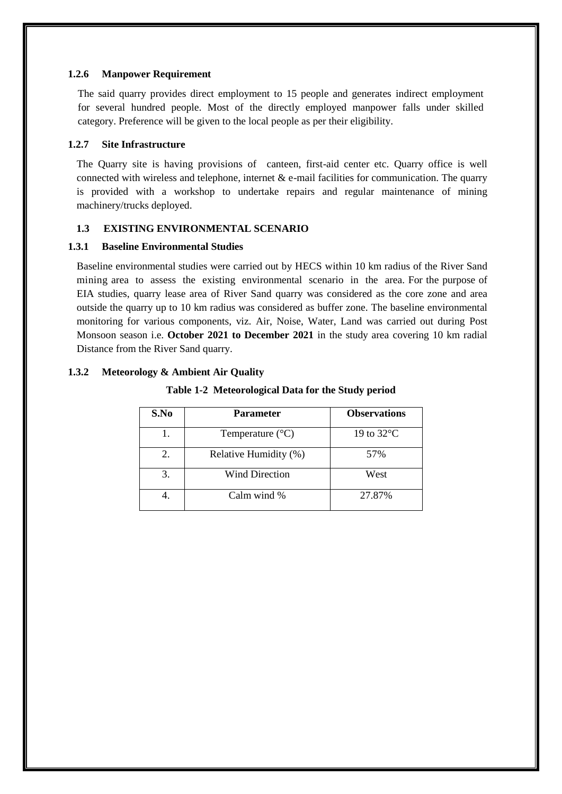#### **1.2.6 Manpower Requirement**

The said quarry provides direct employment to 15 people and generates indirect employment for several hundred people. Most of the directly employed manpower falls under skilled category. Preference will be given to the local people as per their eligibility.

#### **1.2.7 Site Infrastructure**

The Quarry site is having provisions of canteen, first-aid center etc. Quarry office is well connected with wireless and telephone, internet  $\&$  e-mail facilities for communication. The quarry is provided with a workshop to undertake repairs and regular maintenance of mining machinery/trucks deployed.

### **1.3 EXISTING ENVIRONMENTAL SCENARIO**

### **1.3.1 Baseline Environmental Studies**

Baseline environmental studies were carried out by HECS within 10 km radius of the River Sand mining area to assess the existing environmental scenario in the area. For the purpose of EIA studies, quarry lease area of River Sand quarry was considered as the core zone and area outside the quarry up to 10 km radius was considered as buffer zone. The baseline environmental monitoring for various components, viz. Air, Noise, Water, Land was carried out during Post Monsoon season i.e. **October 2021 to December 2021** in the study area covering 10 km radial Distance from the River Sand quarry.

## **1.3.2 Meteorology & Ambient Air Quality**

| S.No | <b>Parameter</b>          | <b>Observations</b> |
|------|---------------------------|---------------------|
|      | Temperature $(^{\circ}C)$ | 19 to 32°C          |
| 2.   | Relative Humidity (%)     | 57%                 |
| 3.   | <b>Wind Direction</b>     | West                |
|      | Calm wind %               | 27.87%              |

## **Table 1-2 Meteorological Data for the Study period**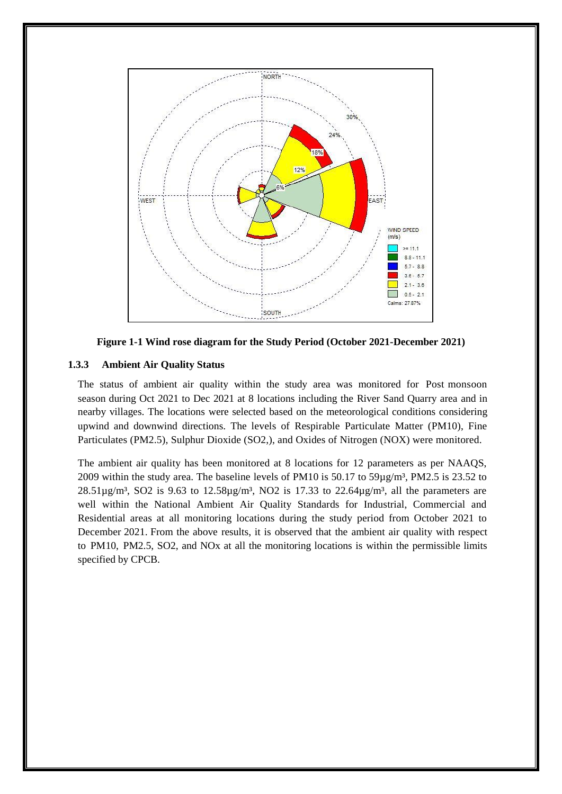

**Figure 1-1 Wind rose diagram for the Study Period (October 2021-December 2021)**

### **1.3.3 Ambient Air Quality Status**

The status of ambient air quality within the study area was monitored for Post monsoon season during Oct 2021 to Dec 2021 at 8 locations including the River Sand Quarry area and in nearby villages. The locations were selected based on the meteorological conditions considering upwind and downwind directions. The levels of Respirable Particulate Matter (PM10), Fine Particulates (PM2.5), Sulphur Dioxide (SO2,), and Oxides of Nitrogen (NOX) were monitored.

The ambient air quality has been monitored at 8 locations for 12 parameters as per NAAQS, 2009 within the study area. The baseline levels of PM10 is  $50.17$  to  $59\mu g/m<sup>3</sup>$ , PM2.5 is 23.52 to  $28.51\mu\text{g/m}^3$ , SO2 is 9.63 to  $12.58\mu\text{g/m}^3$ , NO2 is 17.33 to  $22.64\mu\text{g/m}^3$ , all the parameters are well within the National Ambient Air Quality Standards for Industrial, Commercial and Residential areas at all monitoring locations during the study period from October 2021 to December 2021. From the above results, it is observed that the ambient air quality with respect to PM10, PM2.5, SO2, and NOx at all the monitoring locations is within the permissible limits specified by CPCB.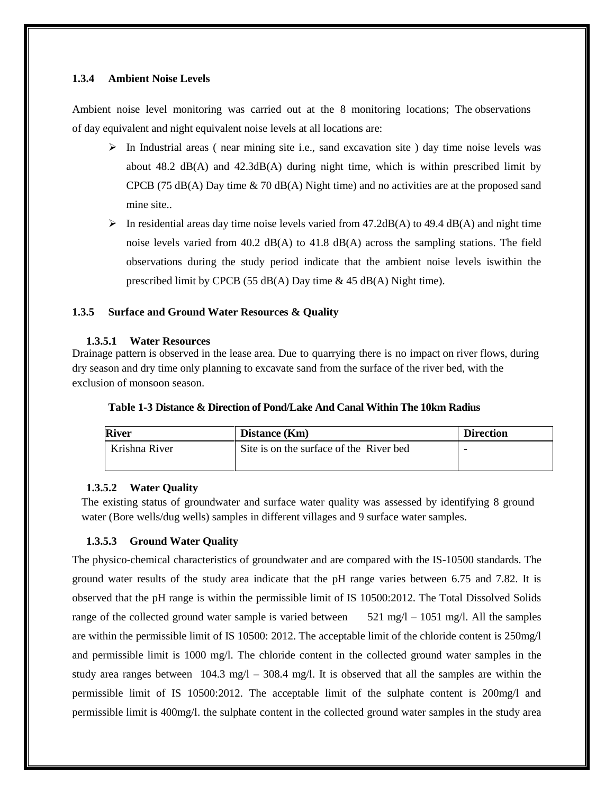#### **1.3.4 Ambient Noise Levels**

Ambient noise level monitoring was carried out at the 8 monitoring locations; The observations of day equivalent and night equivalent noise levels at all locations are:

- $\triangleright$  In Industrial areas ( near mining site i.e., sand excavation site ) day time noise levels was about  $48.2 \text{ dB}(A)$  and  $42.3 \text{dB}(A)$  during night time, which is within prescribed limit by CPCB (75 dB(A) Day time  $\&$  70 dB(A) Night time) and no activities are at the proposed sand mine site..
- In residential areas day time noise levels varied from 47.2dB(A) to 49.4 dB(A) and night time noise levels varied from 40.2 dB(A) to 41.8 dB(A) across the sampling stations. The field observations during the study period indicate that the ambient noise levels iswithin the prescribed limit by CPCB (55 dB(A) Day time & 45 dB(A) Night time).

#### **1.3.5 Surface and Ground Water Resources & Quality**

#### **1.3.5.1 Water Resources**

Drainage pattern is observed in the lease area. Due to quarrying there is no impact on river flows, during dry season and dry time only planning to excavate sand from the surface of the river bed, with the exclusion of monsoon season.

| Table 1-3 Distance & Direction of Pond/Lake And Canal Within The 10km Radius |
|------------------------------------------------------------------------------|
|------------------------------------------------------------------------------|

| <b>River</b>                                             | Distance (Km) | <b>Direction</b> |
|----------------------------------------------------------|---------------|------------------|
| Krishna River<br>Site is on the surface of the River bed |               |                  |

#### **1.3.5.2 Water Quality**

The existing status of groundwater and surface water quality was assessed by identifying 8 ground water (Bore wells/dug wells) samples in different villages and 9 surface water samples.

#### **1.3.5.3 Ground Water Quality**

The physico-chemical characteristics of groundwater and are compared with the IS-10500 standards. The ground water results of the study area indicate that the pH range varies between 6.75 and 7.82. It is observed that the pH range is within the permissible limit of IS 10500:2012. The Total Dissolved Solids range of the collected ground water sample is varied between  $521 \text{ mg/l} - 1051 \text{ mg/l}$ . All the samples are within the permissible limit of IS 10500: 2012. The acceptable limit of the chloride content is 250mg/l and permissible limit is 1000 mg/l. The chloride content in the collected ground water samples in the study area ranges between  $104.3 \text{ mg/l} - 308.4 \text{ mg/l}$ . It is observed that all the samples are within the permissible limit of IS 10500:2012. The acceptable limit of the sulphate content is 200mg/l and permissible limit is 400mg/l. the sulphate content in the collected ground water samples in the study area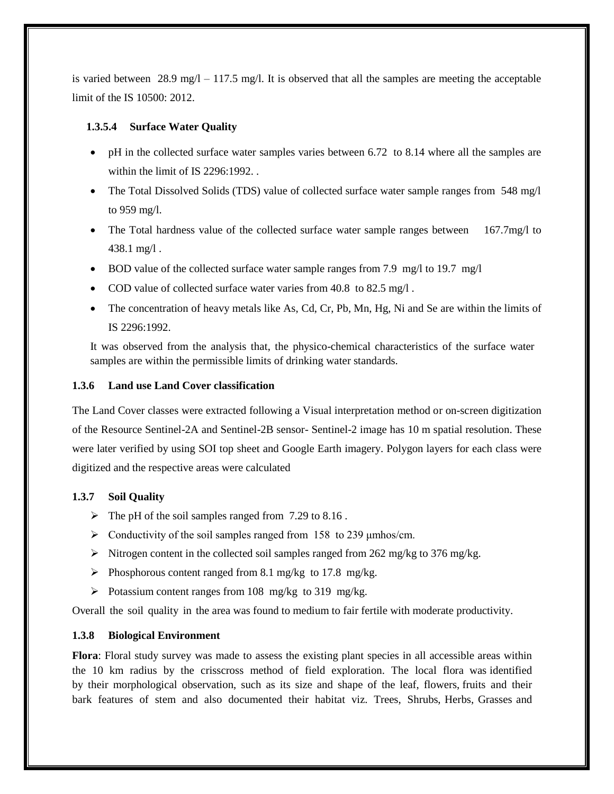is varied between 28.9 mg/l – 117.5 mg/l. It is observed that all the samples are meeting the acceptable limit of the IS 10500: 2012.

#### **1.3.5.4 Surface Water Quality**

- pH in the collected surface water samples varies between 6.72 to 8.14 where all the samples are within the limit of IS 2296:1992...
- The Total Dissolved Solids (TDS) value of collected surface water sample ranges from 548 mg/l to 959 mg/l.
- The Total hardness value of the collected surface water sample ranges between 167.7mg/l to 438.1 mg/l .
- BOD value of the collected surface water sample ranges from 7.9 mg/l to 19.7 mg/l
- COD value of collected surface water varies from 40.8 to 82.5 mg/l.
- The concentration of heavy metals like As, Cd, Cr, Pb, Mn, Hg, Ni and Se are within the limits of IS 2296:1992.

It was observed from the analysis that, the physico-chemical characteristics of the surface water samples are within the permissible limits of drinking water standards.

### **1.3.6 Land use Land Cover classification**

The Land Cover classes were extracted following a Visual interpretation method or on-screen digitization of the Resource Sentinel-2A and Sentinel-2B sensor- Sentinel-2 image has 10 m spatial resolution. These were later verified by using SOI top sheet and Google Earth imagery. Polygon layers for each class were digitized and the respective areas were calculated

## **1.3.7 Soil Quality**

- $\triangleright$  The pH of the soil samples ranged from 7.29 to 8.16.
- $\triangleright$  Conductivity of the soil samples ranged from 158 to 239 µmhos/cm.
- Nitrogen content in the collected soil samples ranged from 262 mg/kg to 376 mg/kg.
- Phosphorous content ranged from 8.1 mg/kg to 17.8 mg/kg.
- $\triangleright$  Potassium content ranges from 108 mg/kg to 319 mg/kg.

Overall the soil quality in the area was found to medium to fair fertile with moderate productivity.

## **1.3.8 Biological Environment**

**Flora**: Floral study survey was made to assess the existing plant species in all accessible areas within the 10 km radius by the crisscross method of field exploration. The local flora was identified by their morphological observation, such as its size and shape of the leaf, flowers, fruits and their bark features of stem and also documented their habitat viz. Trees, Shrubs, Herbs, Grasses and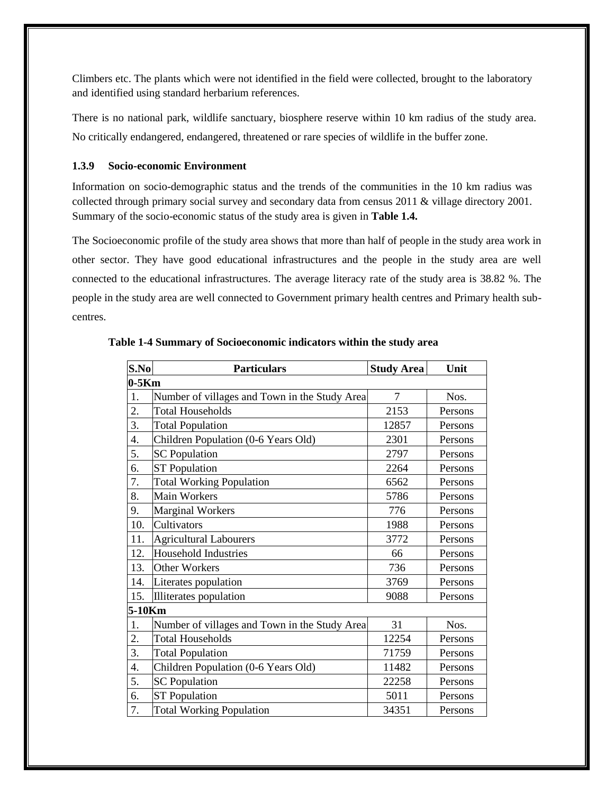Climbers etc. The plants which were not identified in the field were collected, brought to the laboratory and identified using standard herbarium references.

There is no national park, wildlife sanctuary, biosphere reserve within 10 km radius of the study area. No critically endangered, endangered, threatened or rare species of wildlife in the buffer zone.

### **1.3.9 Socio-economic Environment**

Information on socio-demographic status and the trends of the communities in the 10 km radius was collected through primary social survey and secondary data from census 2011 & village directory 2001. Summary of the socio-economic status of the study area is given in **Table 1.4.**

The Socioeconomic profile of the study area shows that more than half of people in the study area work in other sector. They have good educational infrastructures and the people in the study area are well connected to the educational infrastructures. The average literacy rate of the study area is 38.82 %. The people in the study area are well connected to Government primary health centres and Primary health subcentres.

| S.No   | <b>Particulars</b>                            | <b>Study Area</b> | Unit    |  |  |
|--------|-----------------------------------------------|-------------------|---------|--|--|
|        | $0-5Km$                                       |                   |         |  |  |
| 1.     | Number of villages and Town in the Study Area | $\overline{7}$    | Nos.    |  |  |
| 2.     | <b>Total Households</b>                       | 2153              | Persons |  |  |
| 3.     | <b>Total Population</b>                       | 12857             | Persons |  |  |
| 4.     | Children Population (0-6 Years Old)           | 2301              | Persons |  |  |
| 5.     | <b>SC</b> Population                          | 2797              | Persons |  |  |
| 6.     | <b>ST</b> Population                          | 2264              | Persons |  |  |
| 7.     | <b>Total Working Population</b>               | 6562              | Persons |  |  |
| 8.     | <b>Main Workers</b>                           | 5786              | Persons |  |  |
| 9.     | <b>Marginal Workers</b>                       | 776               | Persons |  |  |
| 10.    | Cultivators                                   | 1988              | Persons |  |  |
| 11.    | <b>Agricultural Labourers</b>                 | 3772              | Persons |  |  |
| 12.    | <b>Household Industries</b>                   | 66                | Persons |  |  |
| 13.    | Other Workers                                 | 736               | Persons |  |  |
| 14.    | Literates population                          | 3769              | Persons |  |  |
| 15.    | Illiterates population                        | 9088              | Persons |  |  |
| 5-10Km |                                               |                   |         |  |  |
| 1.     | Number of villages and Town in the Study Area | 31                | Nos.    |  |  |
| 2.     | <b>Total Households</b>                       | 12254             | Persons |  |  |
| 3.     | <b>Total Population</b>                       | 71759             | Persons |  |  |
| 4.     | Children Population (0-6 Years Old)           | 11482             | Persons |  |  |
| 5.     | <b>SC</b> Population                          | 22258             | Persons |  |  |
| 6.     | <b>ST Population</b>                          | 5011              | Persons |  |  |
| 7.     | <b>Total Working Population</b>               | 34351             | Persons |  |  |

**Table 1-4 Summary of Socioeconomic indicators within the study area**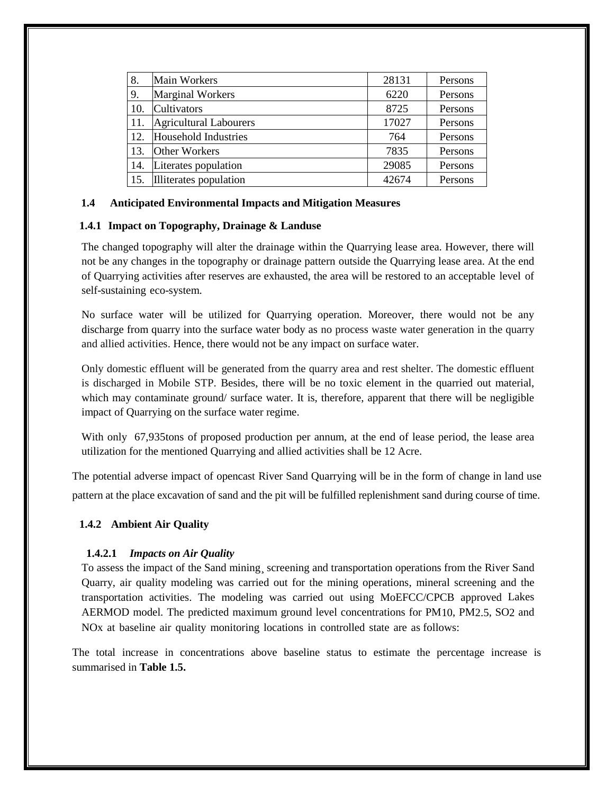| 8.  | <b>Main Workers</b>           | 28131 | Persons |
|-----|-------------------------------|-------|---------|
| 9.  | <b>Marginal Workers</b>       | 6220  | Persons |
| 10. | Cultivators                   | 8725  | Persons |
| 11. | <b>Agricultural Labourers</b> | 17027 | Persons |
| 12. | Household Industries          | 764   | Persons |
| 13. | <b>Other Workers</b>          | 7835  | Persons |
| 14. | Literates population          | 29085 | Persons |
| 15. | Illiterates population        | 42674 | Persons |

#### **1.4 Anticipated Environmental Impacts and Mitigation Measures**

#### **1.4.1 Impact on Topography, Drainage & Landuse**

The changed topography will alter the drainage within the Quarrying lease area. However, there will not be any changes in the topography or drainage pattern outside the Quarrying lease area. At the end of Quarrying activities after reserves are exhausted, the area will be restored to an acceptable level of self-sustaining eco-system.

No surface water will be utilized for Quarrying operation. Moreover, there would not be any discharge from quarry into the surface water body as no process waste water generation in the quarry and allied activities. Hence, there would not be any impact on surface water.

Only domestic effluent will be generated from the quarry area and rest shelter. The domestic effluent is discharged in Mobile STP. Besides, there will be no toxic element in the quarried out material, which may contaminate ground/ surface water. It is, therefore, apparent that there will be negligible impact of Quarrying on the surface water regime.

With only 67,935tons of proposed production per annum, at the end of lease period, the lease area utilization for the mentioned Quarrying and allied activities shall be 12 Acre.

The potential adverse impact of opencast River Sand Quarrying will be in the form of change in land use pattern at the place excavation of sand and the pit will be fulfilled replenishment sand during course of time.

#### **1.4.2 Ambient Air Quality**

#### **1.4.2.1** *Impacts on Air Quality*

To assess the impact of the Sand mining¸ screening and transportation operations from the River Sand Quarry, air quality modeling was carried out for the mining operations, mineral screening and the transportation activities. The modeling was carried out using MoEFCC/CPCB approved Lakes AERMOD model. The predicted maximum ground level concentrations for PM10, PM2.5, SO2 and NOx at baseline air quality monitoring locations in controlled state are as follows:

The total increase in concentrations above baseline status to estimate the percentage increase is summarised in **Table 1.5.**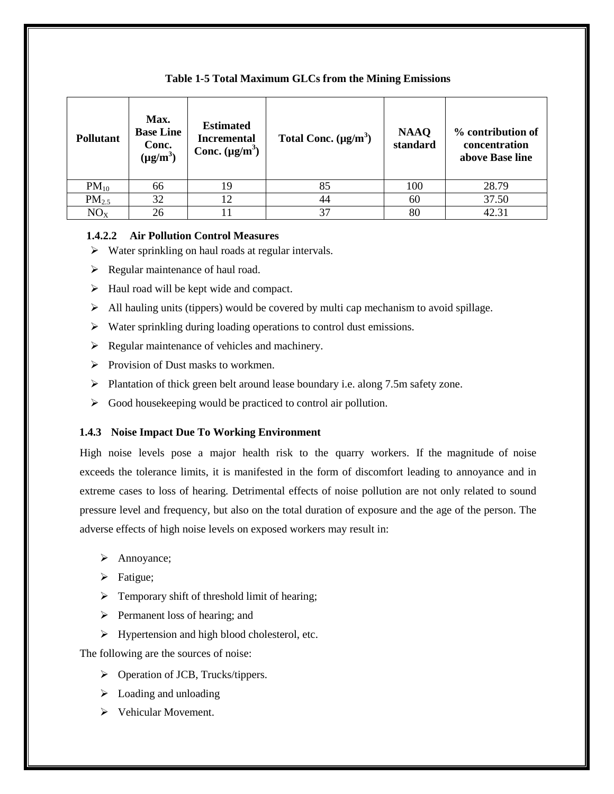| <b>Pollutant</b>  | Max.<br><b>Base Line</b><br>Conc.<br>$(\mu g/m^3)$ | <b>Estimated</b><br><b>Incremental</b><br>Conc. $(\mu g/m^3)$ | Total Conc. $(\mu g/m^3)$ | <b>NAAQ</b><br>standard | % contribution of<br>concentration<br>above Base line |
|-------------------|----------------------------------------------------|---------------------------------------------------------------|---------------------------|-------------------------|-------------------------------------------------------|
| $PM_{10}$         | 66                                                 | 19                                                            | 85                        | 100                     | 28.79                                                 |
| PM <sub>2.5</sub> | 32                                                 | 12                                                            | 44                        | 60                      | 37.50                                                 |
| NO <sub>X</sub>   | 26                                                 |                                                               | 37                        | 80                      | 42.31                                                 |

#### **Table 1-5 Total Maximum GLCs from the Mining Emissions**

#### **1.4.2.2 Air Pollution Control Measures**

- $\triangleright$  Water sprinkling on haul roads at regular intervals.
- $\triangleright$  Regular maintenance of haul road.
- $\triangleright$  Haul road will be kept wide and compact.
- $\triangleright$  All hauling units (tippers) would be covered by multi cap mechanism to avoid spillage.
- $\triangleright$  Water sprinkling during loading operations to control dust emissions.
- $\triangleright$  Regular maintenance of vehicles and machinery.
- $\triangleright$  Provision of Dust masks to workmen.
- $\triangleright$  Plantation of thick green belt around lease boundary i.e. along 7.5m safety zone.
- $\triangleright$  Good house keeping would be practiced to control air pollution.

#### **1.4.3 Noise Impact Due To Working Environment**

High noise levels pose a major health risk to the quarry workers. If the magnitude of noise exceeds the tolerance limits, it is manifested in the form of discomfort leading to annoyance and in extreme cases to loss of hearing. Detrimental effects of noise pollution are not only related to sound pressure level and frequency, but also on the total duration of exposure and the age of the person. The adverse effects of high noise levels on exposed workers may result in:

- > Annoyance;
- > Fatigue;
- $\triangleright$  Temporary shift of threshold limit of hearing;
- $\triangleright$  Permanent loss of hearing; and
- $\triangleright$  Hypertension and high blood cholesterol, etc.

The following are the sources of noise:

- $\triangleright$  Operation of JCB, Trucks/tippers.
- $\triangleright$  Loading and unloading
- Vehicular Movement.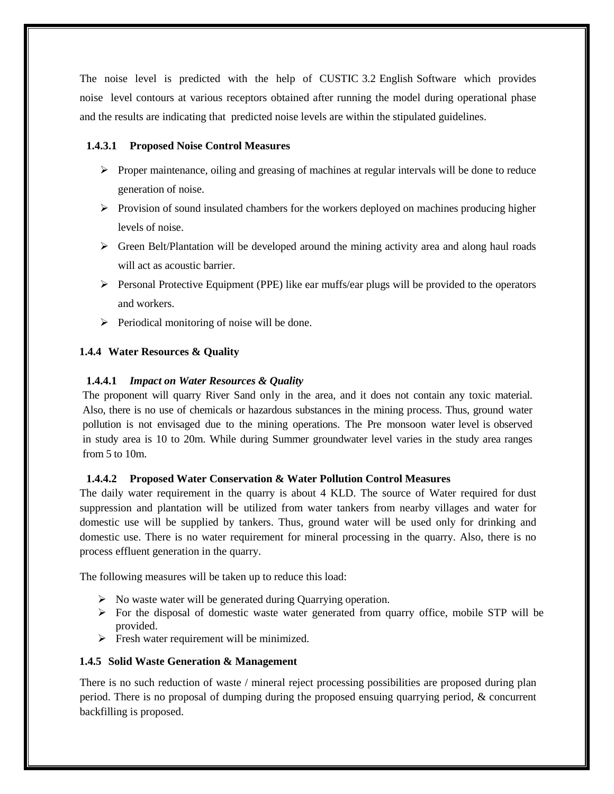The noise level is predicted with the help of CUSTIC 3.2 English Software which provides noise level contours at various receptors obtained after running the model during operational phase and the results are indicating that predicted noise levels are within the stipulated guidelines.

## **1.4.3.1 Proposed Noise Control Measures**

- $\triangleright$  Proper maintenance, oiling and greasing of machines at regular intervals will be done to reduce generation of noise.
- $\triangleright$  Provision of sound insulated chambers for the workers deployed on machines producing higher levels of noise.
- $\triangleright$  Green Belt/Plantation will be developed around the mining activity area and along haul roads will act as acoustic barrier.
- $\triangleright$  Personal Protective Equipment (PPE) like ear muffs/ear plugs will be provided to the operators and workers.
- $\triangleright$  Periodical monitoring of noise will be done.

### **1.4.4 Water Resources & Quality**

### **1.4.4.1** *Impact on Water Resources & Quality*

The proponent will quarry River Sand only in the area, and it does not contain any toxic material. Also, there is no use of chemicals or hazardous substances in the mining process. Thus, ground water pollution is not envisaged due to the mining operations. The Pre monsoon water level is observed in study area is 10 to 20m. While during Summer groundwater level varies in the study area ranges from 5 to 10m.

#### **1.4.4.2 Proposed Water Conservation & Water Pollution Control Measures**

The daily water requirement in the quarry is about 4 KLD. The source of Water required for dust suppression and plantation will be utilized from water tankers from nearby villages and water for domestic use will be supplied by tankers. Thus, ground water will be used only for drinking and domestic use. There is no water requirement for mineral processing in the quarry. Also, there is no process effluent generation in the quarry.

The following measures will be taken up to reduce this load:

- $\triangleright$  No waste water will be generated during Quarrying operation.
- $\triangleright$  For the disposal of domestic waste water generated from quarry office, mobile STP will be provided.
- $\triangleright$  Fresh water requirement will be minimized.

#### **1.4.5 Solid Waste Generation & Management**

There is no such reduction of waste / mineral reject processing possibilities are proposed during plan period. There is no proposal of dumping during the proposed ensuing quarrying period, & concurrent backfilling is proposed.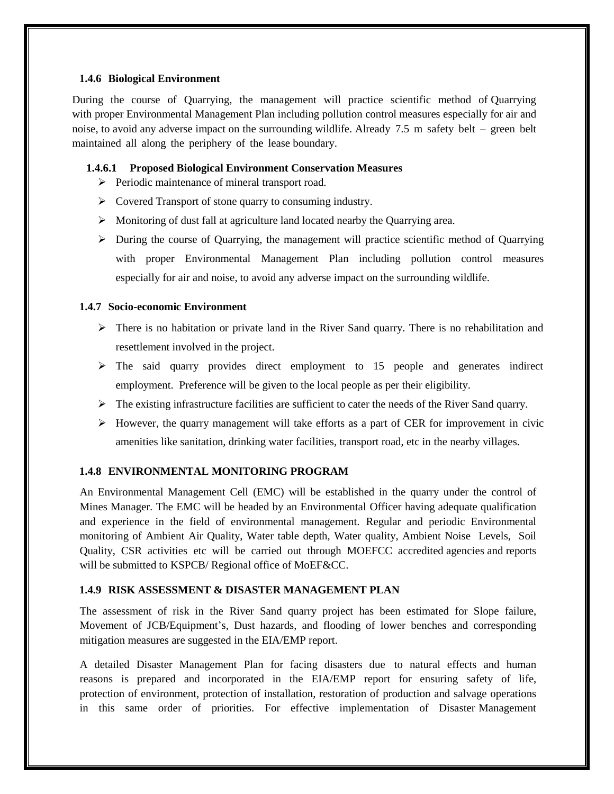#### **1.4.6 Biological Environment**

During the course of Quarrying, the management will practice scientific method of Quarrying with proper Environmental Management Plan including pollution control measures especially for air and noise, to avoid any adverse impact on the surrounding wildlife. Already 7.5 m safety belt – green belt maintained all along the periphery of the lease boundary.

#### **1.4.6.1 Proposed Biological Environment Conservation Measures**

- $\triangleright$  Periodic maintenance of mineral transport road.
- Covered Transport of stone quarry to consuming industry.
- Monitoring of dust fall at agriculture land located nearby the Quarrying area.
- $\triangleright$  During the course of Quarrying, the management will practice scientific method of Quarrying with proper Environmental Management Plan including pollution control measures especially for air and noise, to avoid any adverse impact on the surrounding wildlife.

### **1.4.7 Socio-economic Environment**

- $\triangleright$  There is no habitation or private land in the River Sand quarry. There is no rehabilitation and resettlement involved in the project.
- $\triangleright$  The said quarry provides direct employment to 15 people and generates indirect employment. Preference will be given to the local people as per their eligibility.
- $\triangleright$  The existing infrastructure facilities are sufficient to cater the needs of the River Sand quarry.
- $\triangleright$  However, the quarry management will take efforts as a part of CER for improvement in civic amenities like sanitation, drinking water facilities, transport road, etc in the nearby villages.

## **1.4.8 ENVIRONMENTAL MONITORING PROGRAM**

An Environmental Management Cell (EMC) will be established in the quarry under the control of Mines Manager. The EMC will be headed by an Environmental Officer having adequate qualification and experience in the field of environmental management. Regular and periodic Environmental monitoring of Ambient Air Quality, Water table depth, Water quality, Ambient Noise Levels, Soil Quality, CSR activities etc will be carried out through MOEFCC accredited agencies and reports will be submitted to KSPCB/ Regional office of MoEF&CC.

#### **1.4.9 RISK ASSESSMENT & DISASTER MANAGEMENT PLAN**

The assessment of risk in the River Sand quarry project has been estimated for Slope failure, Movement of JCB/Equipment's, Dust hazards, and flooding of lower benches and corresponding mitigation measures are suggested in the EIA/EMP report.

A detailed Disaster Management Plan for facing disasters due to natural effects and human reasons is prepared and incorporated in the EIA/EMP report for ensuring safety of life, protection of environment, protection of installation, restoration of production and salvage operations in this same order of priorities. For effective implementation of Disaster Management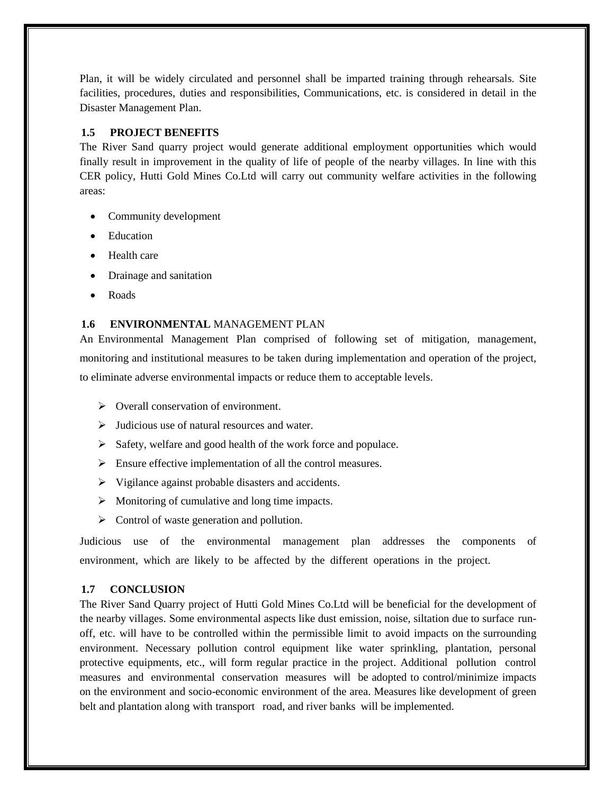Plan, it will be widely circulated and personnel shall be imparted training through rehearsals. Site facilities, procedures, duties and responsibilities, Communications, etc. is considered in detail in the Disaster Management Plan.

## **1.5 PROJECT BENEFITS**

The River Sand quarry project would generate additional employment opportunities which would finally result in improvement in the quality of life of people of the nearby villages. In line with this CER policy, Hutti Gold Mines Co.Ltd will carry out community welfare activities in the following areas:

- Community development
- Education
- Health care
- Drainage and sanitation
- Roads

#### **1.6 ENVIRONMENTAL** MANAGEMENT PLAN

An Environmental Management Plan comprised of following set of mitigation, management, monitoring and institutional measures to be taken during implementation and operation of the project, to eliminate adverse environmental impacts or reduce them to acceptable levels.

- $\triangleright$  Overall conservation of environment.
- $\triangleright$  Judicious use of natural resources and water.
- $\triangleright$  Safety, welfare and good health of the work force and populace.
- $\triangleright$  Ensure effective implementation of all the control measures.
- $\triangleright$  Vigilance against probable disasters and accidents.
- $\triangleright$  Monitoring of cumulative and long time impacts.
- $\triangleright$  Control of waste generation and pollution.

Judicious use of the environmental management plan addresses the components of environment, which are likely to be affected by the different operations in the project.

#### **1.7 CONCLUSION**

The River Sand Quarry project of Hutti Gold Mines Co.Ltd will be beneficial for the development of the nearby villages. Some environmental aspects like dust emission, noise, siltation due to surface runoff, etc. will have to be controlled within the permissible limit to avoid impacts on the surrounding environment. Necessary pollution control equipment like water sprinkling, plantation, personal protective equipments, etc., will form regular practice in the project. Additional pollution control measures and environmental conservation measures will be adopted to control/minimize impacts on the environment and socio-economic environment of the area. Measures like development of green belt and plantation along with transport road, and river banks will be implemented.